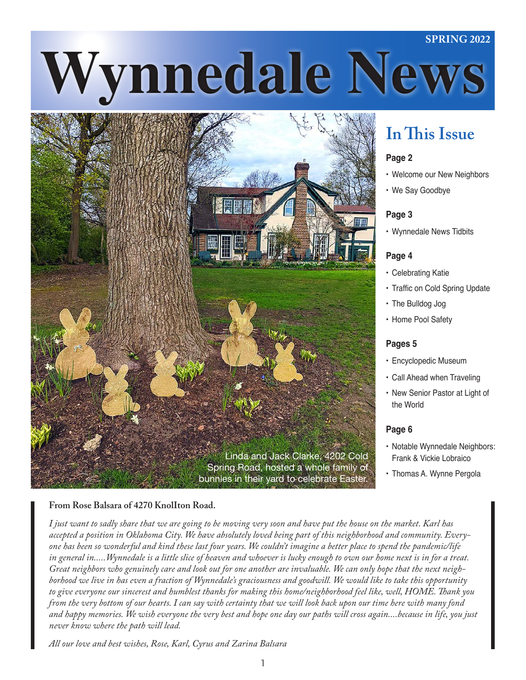#### **SPRING 2022**

# **Wynnedale News**



### **In This Issue**

#### **Page 2**

- Welcome our New Neighbors
- We Say Goodbye

#### **Page 3**

• Wynnedale News Tidbits

#### **Page 4**

- Celebrating Katie
- Traffic on Cold Spring Update
- The Bulldog Jog
- Home Pool Safety

#### **Pages 5**

- • Encyclopedic Museum
- Call Ahead when Traveling
- New Senior Pastor at Light of the World

#### **Page 6**

- Notable Wynnedale Neighbors: Frank & Vickie Lobraico
- **Thomas A. Wynne Pergola**

#### From Rose Balsara of 4270 KnolIton Road.

*I just want to sadly share that we are going to be moving very soon and have put the house on the market. Karl has accepted a position in Oklahoma City. We have absolutely loved being part of this neighborhood and community. Everyone has been so wonderful and kind these last four years. We couldn't imagine a better place to spend the pandemic/life in general in.....Wynnedale is a little slice of heaven and whoever is lucky enough to own our home next is in for a treat. Great neighbors who genuinely care and look out for one another are invaluable. We can only hope that the next neighborhood we live in has even a fraction of Wynnedale's graciousness and goodwill. We would like to take this opportunity to give everyone our sincerest and humblest thanks for making this home/neighborhood feel like, well, HOME. Thank you from the very bottom of our hearts. I can say with certainty that we will look back upon our time here with many fond and happy memories. We wish everyone the very best and hope one day our paths will cross again....because in life, you just never know where the path will lead.*

*All our love and best wishes, Rose, Karl, Cyrus and Zarina Balsara*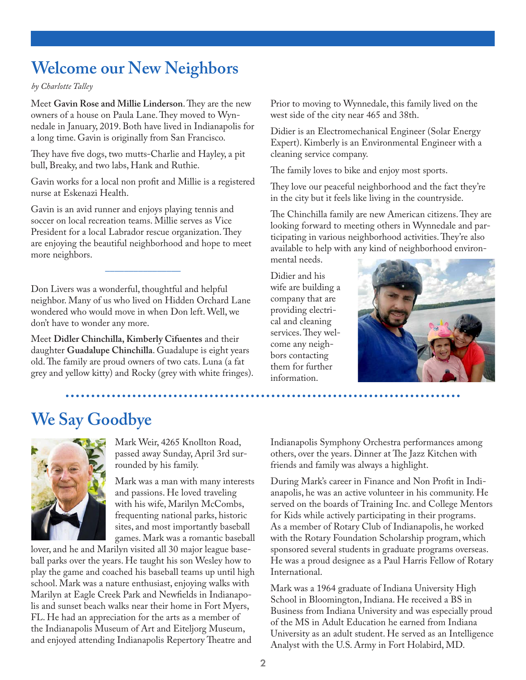### **Welcome our New Neighbors**

*by Charlotte Talley*

Meet **Gavin Rose and Millie Linderson**. They are the new owners of a house on Paula Lane. They moved to Wynnedale in January, 2019. Both have lived in Indianapolis for a long time. Gavin is originally from San Francisco.

They have five dogs, two mutts-Charlie and Hayley, a pit bull, Breaky, and two labs, Hank and Ruthie.

Gavin works for a local non profit and Millie is a registered nurse at Eskenazi Health.

Gavin is an avid runner and enjoys playing tennis and soccer on local recreation teams. Millie serves as Vice President for a local Labrador rescue organization. They are enjoying the beautiful neighborhood and hope to meet more neighbors.

Don Livers was a wonderful, thoughtful and helpful neighbor. Many of us who lived on Hidden Orchard Lane wondered who would move in when Don left. Well, we don't have to wonder any more.

––––––––––––––––

Meet **Didler Chinchilla, Kimberly Cifuentes** and their daughter **Guadalupe Chinchilla**. Guadalupe is eight years old. The family are proud owners of two cats. Luna (a fat grey and yellow kitty) and Rocky (grey with white fringes). Prior to moving to Wynnedale, this family lived on the west side of the city near 465 and 38th.

Didier is an Electromechanical Engineer (Solar Energy Expert). Kimberly is an Environmental Engineer with a cleaning service company.

The family loves to bike and enjoy most sports.

They love our peaceful neighborhood and the fact they're in the city but it feels like living in the countryside.

The Chinchilla family are new American citizens. They are looking forward to meeting others in Wynnedale and participating in various neighborhood activities. They're also available to help with any kind of neighborhood environmental needs.

Didier and his wife are building a company that are providing electrical and cleaning services. They welcome any neighbors contacting them for further information.



### **We Say Goodbye**



Mark Weir, 4265 Knollton Road, passed away Sunday, April 3rd surrounded by his family.

Mark was a man with many interests and passions. He loved traveling with his wife, Marilyn McCombs, frequenting national parks, historic sites, and most importantly baseball games. Mark was a romantic baseball

lover, and he and Marilyn visited all 30 major league baseball parks over the years. He taught his son Wesley how to play the game and coached his baseball teams up until high school. Mark was a nature enthusiast, enjoying walks with Marilyn at Eagle Creek Park and Newfields in Indianapolis and sunset beach walks near their home in Fort Myers, FL. He had an appreciation for the arts as a member of the Indianapolis Museum of Art and Eiteljorg Museum, and enjoyed attending Indianapolis Repertory Theatre and

Indianapolis Symphony Orchestra performances among others, over the years. Dinner at The Jazz Kitchen with friends and family was always a highlight.

During Mark's career in Finance and Non Profit in Indianapolis, he was an active volunteer in his community. He served on the boards of Training Inc. and College Mentors for Kids while actively participating in their programs. As a member of Rotary Club of Indianapolis, he worked with the Rotary Foundation Scholarship program, which sponsored several students in graduate programs overseas. He was a proud designee as a Paul Harris Fellow of Rotary International.

Mark was a 1964 graduate of Indiana University High School in Bloomington, Indiana. He received a BS in Business from Indiana University and was especially proud of the MS in Adult Education he earned from Indiana University as an adult student. He served as an Intelligence Analyst with the U.S. Army in Fort Holabird, MD.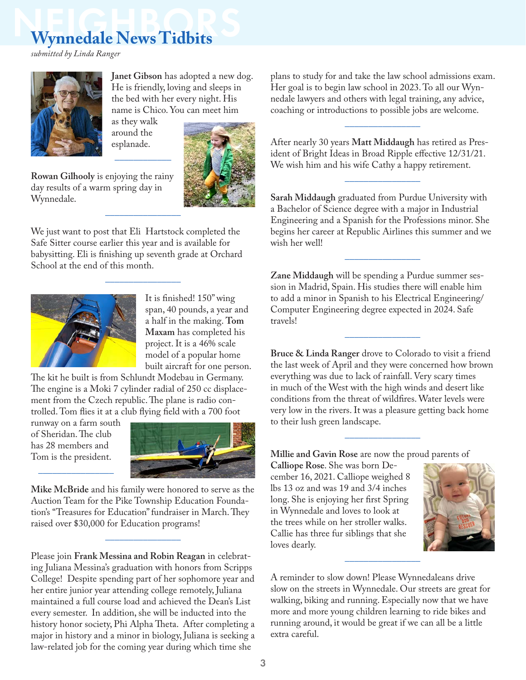## **Wynnedale News Tidbits**

*submitted by Linda Ranger*



**Janet Gibson** has adopted a new dog. He is friendly, loving and sleeps in the bed with her every night. His name is Chico. You can meet him

as they walk around the esplanade.

––––––––––––

––––––––––––––––





day results of a warm spring day in Wynnedale.

We just want to post that Eli Hartstock completed the Safe Sitter course earlier this year and is available for babysitting. Eli is finishing up seventh grade at Orchard School at the end of this month.



It is finished! 150" wing span, 40 pounds, a year and a half in the making. **Tom Maxam** has completed his project. It is a 46% scale model of a popular home built aircraft for one person.

The kit he built is from Schlundt Modebau in Germany. The engine is a Moki 7 cylinder radial of 250 cc displacement from the Czech republic. The plane is radio controlled. Tom flies it at a club flying field with a 700 foot

runway on a farm south of Sheridan. The club has 28 members and Tom is the president.

––––––––––––––––



**Mike McBride** and his family were honored to serve as the Auction Team for the Pike Township Education Foundation's "Treasures for Education" fundraiser in March. They raised over \$30,000 for Education programs!

––––––––––––––––

Please join **Frank Messina and Robin Reagan** in celebrating Juliana Messina's graduation with honors from Scripps College! Despite spending part of her sophomore year and her entire junior year attending college remotely, Juliana maintained a full course load and achieved the Dean's List every semester. In addition, she will be inducted into the history honor society, Phi Alpha Theta. After completing a major in history and a minor in biology, Juliana is seeking a law-related job for the coming year during which time she

plans to study for and take the law school admissions exam. Her goal is to begin law school in 2023. To all our Wynnedale lawyers and others with legal training, any advice, coaching or introductions to possible jobs are welcome.

––––––––––––––––

After nearly 30 years **Matt Middaugh** has retired as President of Bright Ideas in Broad Ripple effective 12/31/21. We wish him and his wife Cathy a happy retirement.

**Sarah Middaugh** graduated from Purdue University with a Bachelor of Science degree with a major in Industrial Engineering and a Spanish for the Professions minor. She begins her career at Republic Airlines this summer and we wish her well!

––––––––––––––––

––––––––––––––––

**Zane Middaugh** will be spending a Purdue summer session in Madrid, Spain. His studies there will enable him to add a minor in Spanish to his Electrical Engineering/ Computer Engineering degree expected in 2024. Safe travels!

**Bruce & Linda Ranger** drove to Colorado to visit a friend the last week of April and they were concerned how brown everything was due to lack of rainfall. Very scary times in much of the West with the high winds and desert like conditions from the threat of wildfires. Water levels were very low in the rivers. It was a pleasure getting back home to their lush green landscape.

––––––––––––––––

––––––––––––––––

**Millie and Gavin Rose** are now the proud parents of

**Calliope Rose**. She was born December 16, 2021. Calliope weighed 8 lbs 13 oz and was 19 and 3/4 inches long. She is enjoying her first Spring in Wynnedale and loves to look at the trees while on her stroller walks. Callie has three fur siblings that she loves dearly.



A reminder to slow down! Please Wynnedaleans drive slow on the streets in Wynnedale. Our streets are great for walking, biking and running. Especially now that we have more and more young children learning to ride bikes and running around, it would be great if we can all be a little extra careful.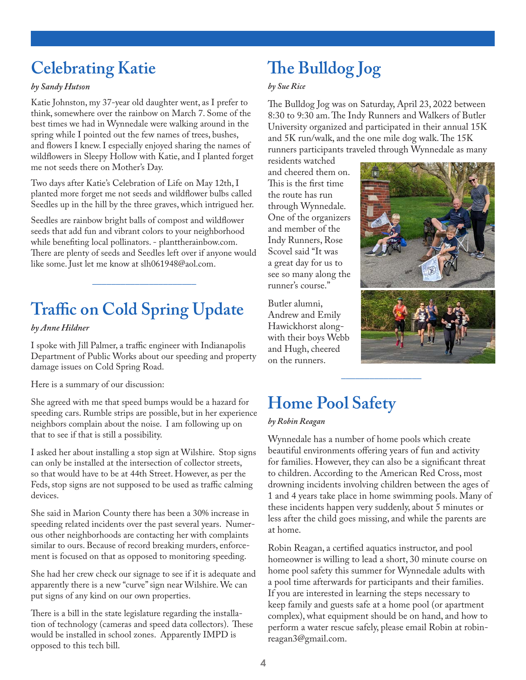### **Celebrating Katie**

#### *by Sandy Hutson*

Katie Johnston, my 37-year old daughter went, as I prefer to think, somewhere over the rainbow on March 7. Some of the best times we had in Wynnedale were walking around in the spring while I pointed out the few names of trees, bushes, and flowers I knew. I especially enjoyed sharing the names of wildflowers in Sleepy Hollow with Katie, and I planted forget me not seeds there on Mother's Day.

Two days after Katie's Celebration of Life on May 12th, I planted more forget me not seeds and wildflower bulbs called Seedles up in the hill by the three graves, which intrigued her.

Seedles are rainbow bright balls of compost and wildflower seeds that add fun and vibrant colors to your neighborhood while benefiting local pollinators. - planttherainbow.com. There are plenty of seeds and Seedles left over if anyone would like some. Just let me know at slh061948@aol.com.

––––––––––––––––––––––

### **Traffic on Cold Spring Update**

#### *by Anne Hildner*

I spoke with Jill Palmer, a traffic engineer with Indianapolis Department of Public Works about our speeding and property damage issues on Cold Spring Road.

Here is a summary of our discussion:

She agreed with me that speed bumps would be a hazard for speeding cars. Rumble strips are possible, but in her experience neighbors complain about the noise. I am following up on that to see if that is still a possibility.

I asked her about installing a stop sign at Wilshire. Stop signs can only be installed at the intersection of collector streets, so that would have to be at 44th Street. However, as per the Feds, stop signs are not supposed to be used as traffic calming devices.

She said in Marion County there has been a 30% increase in speeding related incidents over the past several years. Numerous other neighborhoods are contacting her with complaints similar to ours. Because of record breaking murders, enforcement is focused on that as opposed to monitoring speeding.

She had her crew check our signage to see if it is adequate and apparently there is a new "curve" sign near Wilshire. We can put signs of any kind on our own properties.

There is a bill in the state legislature regarding the installation of technology (cameras and speed data collectors). These would be installed in school zones. Apparently IMPD is opposed to this tech bill.

### **The Bulldog Jog**

#### *by Sue Rice*

The Bulldog Jog was on Saturday, April 23, 2022 between 8:30 to 9:30 am. The Indy Runners and Walkers of Butler University organized and participated in their annual 15K and 5K run/walk, and the one mile dog walk. The 15K runners participants traveled through Wynnedale as many

residents watched and cheered them on. This is the first time the route has run through Wynnedale. One of the organizers and member of the Indy Runners, Rose Scovel said "It was a great day for us to see so many along the runner's course."

Butler alumni, Andrew and Emily Hawickhorst alongwith their boys Webb and Hugh, cheered on the runners.





### **Home Pool Safety**

#### *by Robin Reagan*

Wynnedale has a number of home pools which create beautiful environments offering years of fun and activity for families. However, they can also be a significant threat to children. According to the American Red Cross, most drowning incidents involving children between the ages of 1 and 4 years take place in home swimming pools. Many of these incidents happen very suddenly, about 5 minutes or less after the child goes missing, and while the parents are at home.

–––––––––––––––––

Robin Reagan, a certified aquatics instructor, and pool homeowner is willing to lead a short, 30 minute course on home pool safety this summer for Wynnedale adults with a pool time afterwards for participants and their families. If you are interested in learning the steps necessary to keep family and guests safe at a home pool (or apartment complex), what equipment should be on hand, and how to perform a water rescue safely, please email Robin at robinreagan3@gmail.com.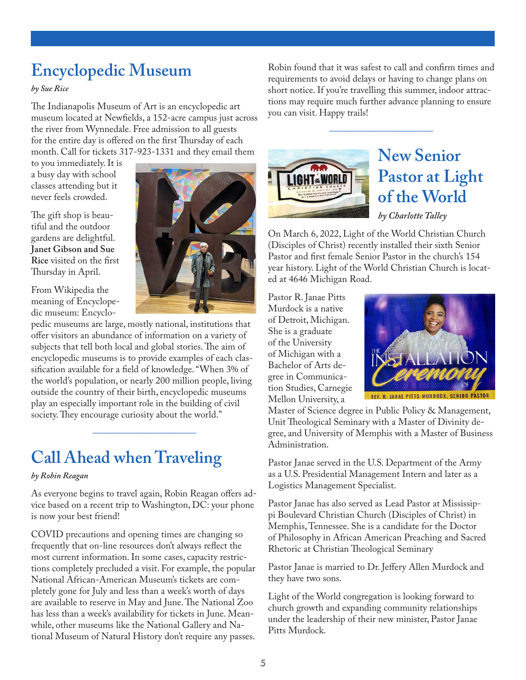### **Encyclopedic Museum**

*by Sue Rice*

The Indianapolis Museum of Art is an encyclopedic art museum located at Newfields, a 152-acre campus just across the river from Wynnedale. Free admission to all guests for the entire day is offered on the first Thursday of each month. Call for tickets 317-923-1331 and they email them

to you immediately. It is a busy day with school classes attending but it never feels crowded.

The gift shop is beautiful and the outdoor gardens are delightful. **Janet Gibson and Sue Rice** visited on the first Thursday in April.

From Wikipedia the meaning of Encyclopedic museum: Encyclo-



pedic museums are large, mostly national, institutions that offer visitors an abundance of information on a variety of subjects that tell both local and global stories. The aim of encyclopedic museums is to provide examples of each classification available for a field of knowledge. "When 3% of the world's population, or nearly 200 million people, living outside the country of their birth, encyclopedic museums play an especially important role in the building of civil society. They encourage curiosity about the world."

### **Call Ahead when Traveling**

#### *by Robin Reagan*

As everyone begins to travel again, Robin Reagan offers advice based on a recent trip to Washington, DC: your phone is now your best friend!

––––––––––––––––––––––

COVID precautions and opening times are changing so frequently that on-line resources don't always reflect the most current information. In some cases, capacity restrictions completely precluded a visit. For example, the popular National African-American Museum's tickets are completely gone for July and less than a week's worth of days are available to reserve in May and June. The National Zoo has less than a week's availability for tickets in June. Meanwhile, other museums like the National Gallery and National Museum of Natural History don't require any passes.

Robin found that it was safest to call and confirm times and requirements to avoid delays or having to change plans on short notice. If you're travelling this summer, indoor attractions may require much further advance planning to ensure you can visit. Happy trails!

––––––––––––––––––––––



### **New Senior Pastor at Light of the World**

*by Charlotte Talley*

On March 6, 2022, Light of the World Christian Church (Disciples of Christ) recently installed their sixth Senior Pastor and first female Senior Pastor in the church's 154 year history. Light of the World Christian Church is located at 4646 Michigan Road.

Pastor R. Janae Pitts Murdock is a native of Detroit, Michigan. She is a graduate of the University of Michigan with a Bachelor of Arts degree in Communication Studies, Carnegie Mellon University, a



Master of Science degree in Public Policy & Management, Unit Theological Seminary with a Master of Divinity degree, and University of Memphis with a Master of Business Administration.

Pastor Janae served in the U.S. Department of the Army as a U.S. Presidential Management Intern and later as a Logistics Management Specialist.

Pastor Janae has also served as Lead Pastor at Mississippi Boulevard Christian Church (Disciples of Christ) in Memphis, Tennessee. She is a candidate for the Doctor of Philosophy in African American Preaching and Sacred Rhetoric at Christian Theological Seminary

Pastor Janae is married to Dr. Jeffery Allen Murdock and they have two sons.

Light of the World congregation is looking forward to church growth and expanding community relationships under the leadership of their new minister, Pastor Janae Pitts Murdock.